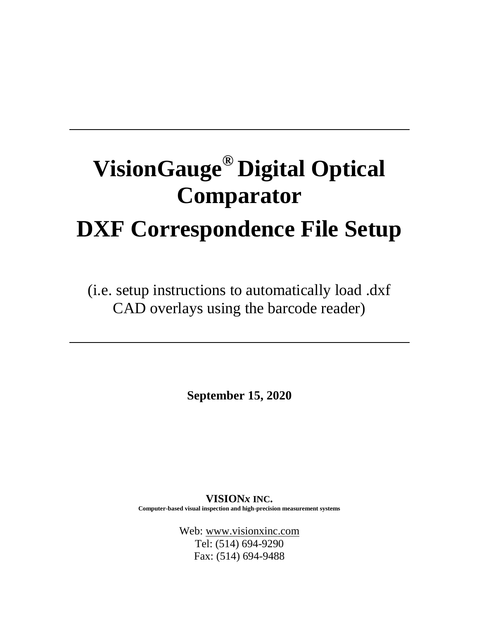# **VisionGauge® Digital Optical Comparator DXF Correspondence File Setup**

(i.e. setup instructions to automatically load .dxf CAD overlays using the barcode reader)

**September 15, 2020**

**VISION***x* **INC. Computer-based visual inspection and high-precision measurement systems**

> Web: [www.visionxinc.com](http://www.visionxinc.com/) Tel: (514) 694-9290 Fax: (514) 694-9488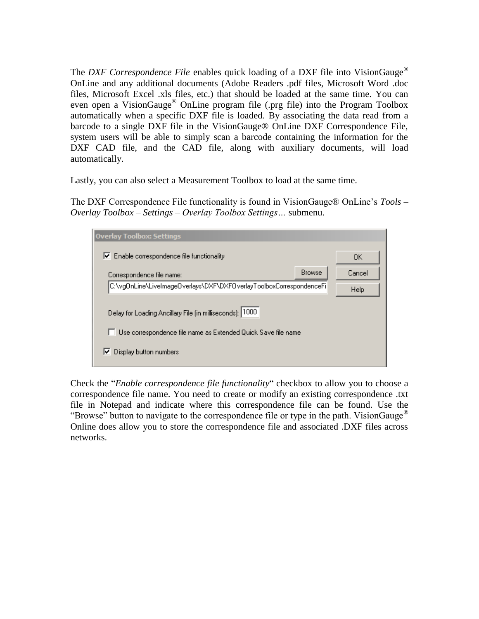The *DXF Correspondence File* enables quick loading of a DXF file into VisionGauge® OnLine and any additional documents (Adobe Readers .pdf files, Microsoft Word .doc files, Microsoft Excel .xls files, etc.) that should be loaded at the same time. You can even open a VisionGauge® OnLine program file (.prg file) into the Program Toolbox automatically when a specific DXF file is loaded. By associating the data read from a barcode to a single DXF file in the VisionGauge® OnLine DXF Correspondence File, system users will be able to simply scan a barcode containing the information for the DXF CAD file, and the CAD file, along with auxiliary documents, will load automatically.

Lastly, you can also select a Measurement Toolbox to load at the same time.

The DXF Correspondence File functionality is found in VisionGauge® OnLine's *Tools – Overlay Toolbox – Settings – Overlay Toolbox Settings…* submenu.

| <b>Overlay Toolbox: Settings</b>                                    |        |
|---------------------------------------------------------------------|--------|
| Enable correspondence file functionality<br>ы                       | OΚ     |
| <b>Browse</b><br>Correspondence file name:                          | Cancel |
| C:\vg0nLine\LiveImage0verlays\DXF\DXF0verlayToolboxCorrespondenceFi | Help   |
| Delay for Loading Ancillary File (in milliseconds): 1000            |        |
| Use correspondence file name as Extended Quick Save file name       |        |
| Display button numbers<br>⋉                                         |        |

Check the "*Enable correspondence file functionality*" checkbox to allow you to choose a correspondence file name. You need to create or modify an existing correspondence .txt file in Notepad and indicate where this correspondence file can be found. Use the "Browse" button to navigate to the correspondence file or type in the path. Vision Gauge<sup>®</sup> Online does allow you to store the correspondence file and associated .DXF files across networks.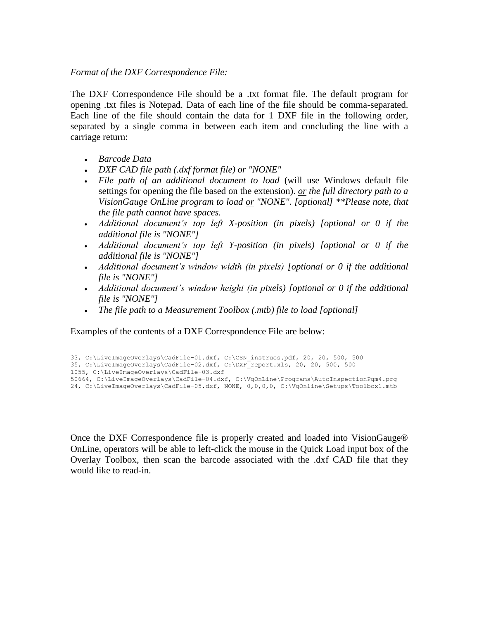#### *Format of the DXF Correspondence File:*

The DXF Correspondence File should be a .txt format file. The default program for opening .txt files is Notepad. Data of each line of the file should be comma-separated. Each line of the file should contain the data for 1 DXF file in the following order, separated by a single comma in between each item and concluding the line with a carriage return:

- *Barcode Data*
- *DXF CAD file path (.dxf format file) or "NONE"*
- *File path of an additional document to load* (will use Windows default file settings for opening the file based on the extension). *or the full directory path to a VisionGauge OnLine program to load or "NONE". [optional] \*\*Please note, that the file path cannot have spaces.*
- *Additional document's top left X-position (in pixels) [optional or 0 if the additional file is "NONE"]*
- *Additional document's top left Y-position (in pixels) [optional or 0 if the additional file is "NONE"]*
- *Additional document's window width (in pixels) [optional or 0 if the additional file is "NONE"]*
- *Additional document's window height (in pixels) [optional or 0 if the additional file is "NONE"]*
- *The file path to a Measurement Toolbox (.mtb) file to load [optional]*

Examples of the contents of a DXF Correspondence File are below:

```
33, C:\LiveImageOverlays\CadFile-01.dxf, C:\CSN_instrucs.pdf, 20, 20, 500, 500
35, C:\LiveImageOverlays\CadFile-02.dxf, C:\DXF_report.xls, 20, 20, 500, 500
1055, C:\LiveImageOverlays\CadFile-03.dxf
50664, C:\LiveImageOverlays\CadFile-04.dxf, C:\VgOnLine\Programs\AutoInspectionPgm4.prg
24, C:\LiveImageOverlays\CadFile-05.dxf, NONE, 0,0,0,0, C:\VgOnline\Setups\Toolbox1.mtb
```
Once the DXF Correspondence file is properly created and loaded into VisionGauge® OnLine, operators will be able to left-click the mouse in the Quick Load input box of the Overlay Toolbox, then scan the barcode associated with the .dxf CAD file that they would like to read-in.